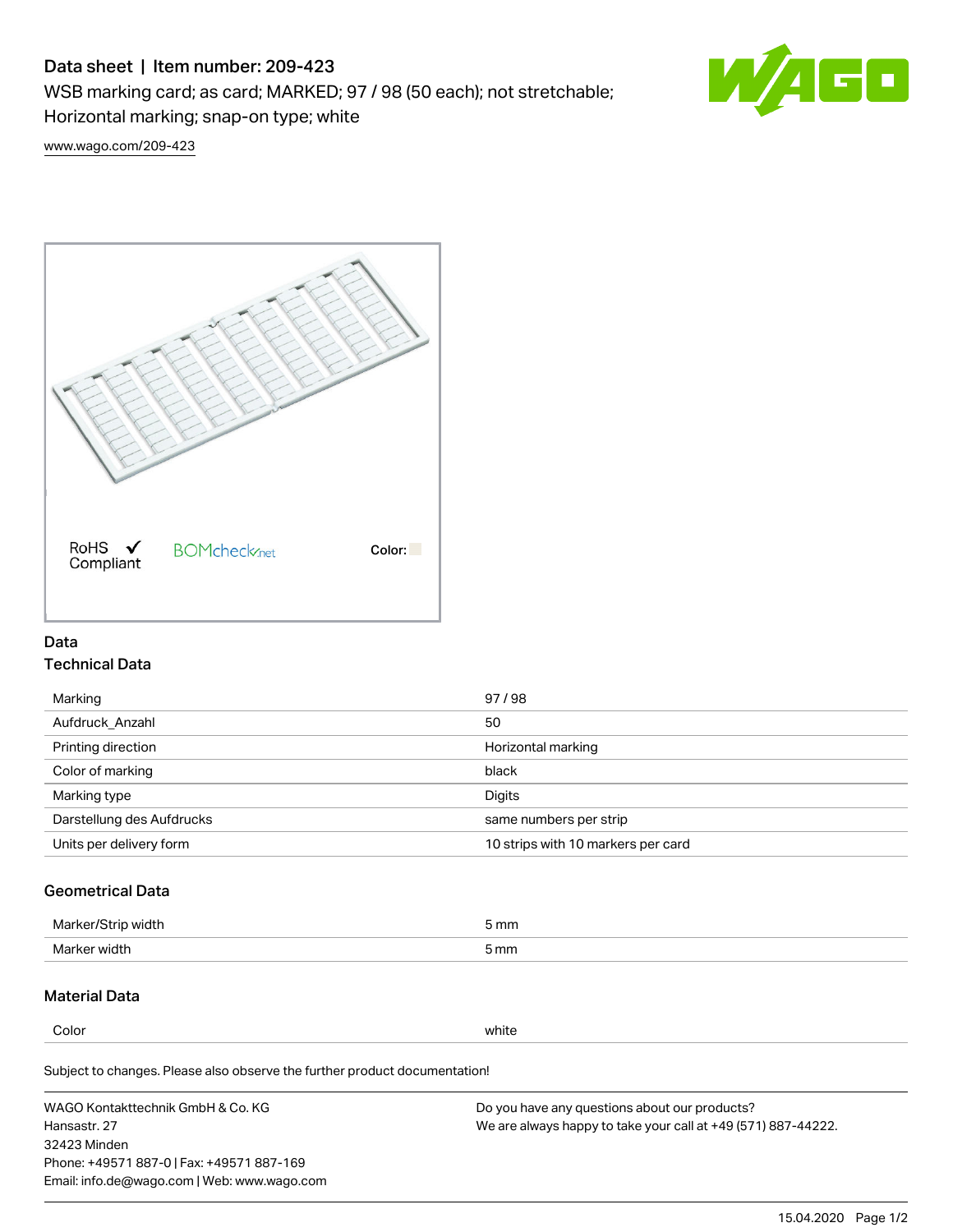# Data sheet | Item number: 209-423

WSB marking card; as card; MARKED; 97 / 98 (50 each); not stretchable;

Horizontal marking; snap-on type; white



[www.wago.com/209-423](http://www.wago.com/209-423)



### Data Technical Data

| Marking                   | 97/98                              |
|---------------------------|------------------------------------|
| Aufdruck Anzahl           | 50                                 |
| Printing direction        | Horizontal marking                 |
| Color of marking          | black                              |
| Marking type              | Digits                             |
| Darstellung des Aufdrucks | same numbers per strip             |
| Units per delivery form   | 10 strips with 10 markers per card |

## Geometrical Data

| Marker.<br>width | 5 mm |
|------------------|------|
| Marker width     | 5 mm |

### Material Data

Color white

Subject to changes. Please also observe the further product documentation!

WAGO Kontakttechnik GmbH & Co. KG Hansastr. 27 32423 Minden Phone: +49571 887-0 | Fax: +49571 887-169 Email: info.de@wago.com | Web: www.wago.com Do you have any questions about our products? We are always happy to take your call at +49 (571) 887-44222.